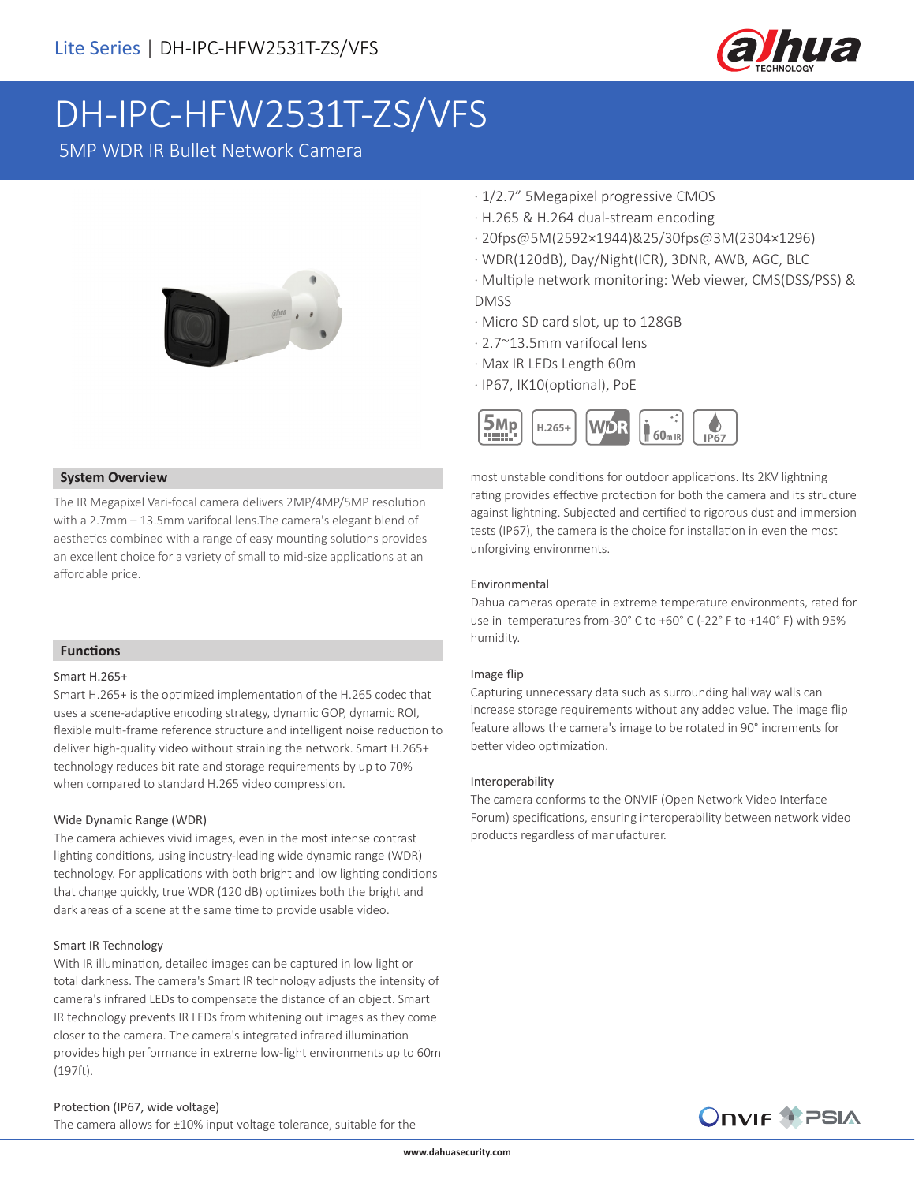

# DH-IPC-HFW2531T-ZS/VFS

5MP WDR IR Bullet Network Camera



#### **System Overview**

The IR Megapixel Vari-focal camera delivers 2MP/4MP/5MP resolution with a 2.7mm – 13.5mm varifocal lens.The camera's elegant blend of aesthetics combined with a range of easy mounting solutions provides an excellent choice for a variety of small to mid-size applications at an affordable price.

#### **Functions**

#### Smart H.265+

Smart H.265+ is the optimized implementation of the H.265 codec that uses a scene-adaptive encoding strategy, dynamic GOP, dynamic ROI, flexible multi-frame reference structure and intelligent noise reduction to deliver high-quality video without straining the network. Smart H.265+ technology reduces bit rate and storage requirements by up to 70% when compared to standard H.265 video compression.

#### Wide Dynamic Range (WDR)

The camera achieves vivid images, even in the most intense contrast lighting conditions, using industry-leading wide dynamic range (WDR) technology. For applications with both bright and low lighting conditions that change quickly, true WDR (120 dB) optimizes both the bright and dark areas of a scene at the same time to provide usable video.

#### Smart IR Technology

With IR illumination, detailed images can be captured in low light or total darkness. The camera's Smart IR technology adjusts the intensity of camera's infrared LEDs to compensate the distance of an object. Smart IR technology prevents IR LEDs from whitening out images as they come closer to the camera. The camera's integrated infrared illumination provides high performance in extreme low-light environments up to 60m (197ft).

## · 1/2.7" 5Megapixel progressive CMOS

- · H.265 & H.264 dual-stream encoding
- · 20fps@5M(2592×1944)&25/30fps@3M(2304×1296)
- · WDR(120dB), Day/Night(ICR), 3DNR, AWB, AGC, BLC
- · Multiple network monitoring: Web viewer, CMS(DSS/PSS) & DMSS
- · Micro SD card slot, up to 128GB
- · 2.7~13.5mm varifocal lens
- · Max IR LEDs Length 60m
- · IP67, IK10(optional), PoE



most unstable conditions for outdoor applications. Its 2KV lightning rating provides effective protection for both the camera and its structure against lightning. Subjected and certified to rigorous dust and immersion tests (IP67), the camera is the choice for installation in even the most unforgiving environments.

#### Environmental

Dahua cameras operate in extreme temperature environments, rated for use in temperatures from-30° C to +60° C (-22° F to +140° F) with 95% humidity.

#### Image flip

Capturing unnecessary data such as surrounding hallway walls can increase storage requirements without any added value. The image flip feature allows the camera's image to be rotated in 90° increments for better video optimization.

#### Interoperability

The camera conforms to the ONVIF (Open Network Video Interface Forum) specifications, ensuring interoperability between network video products regardless of manufacturer.



The camera allows for ±10% input voltage tolerance, suitable for the

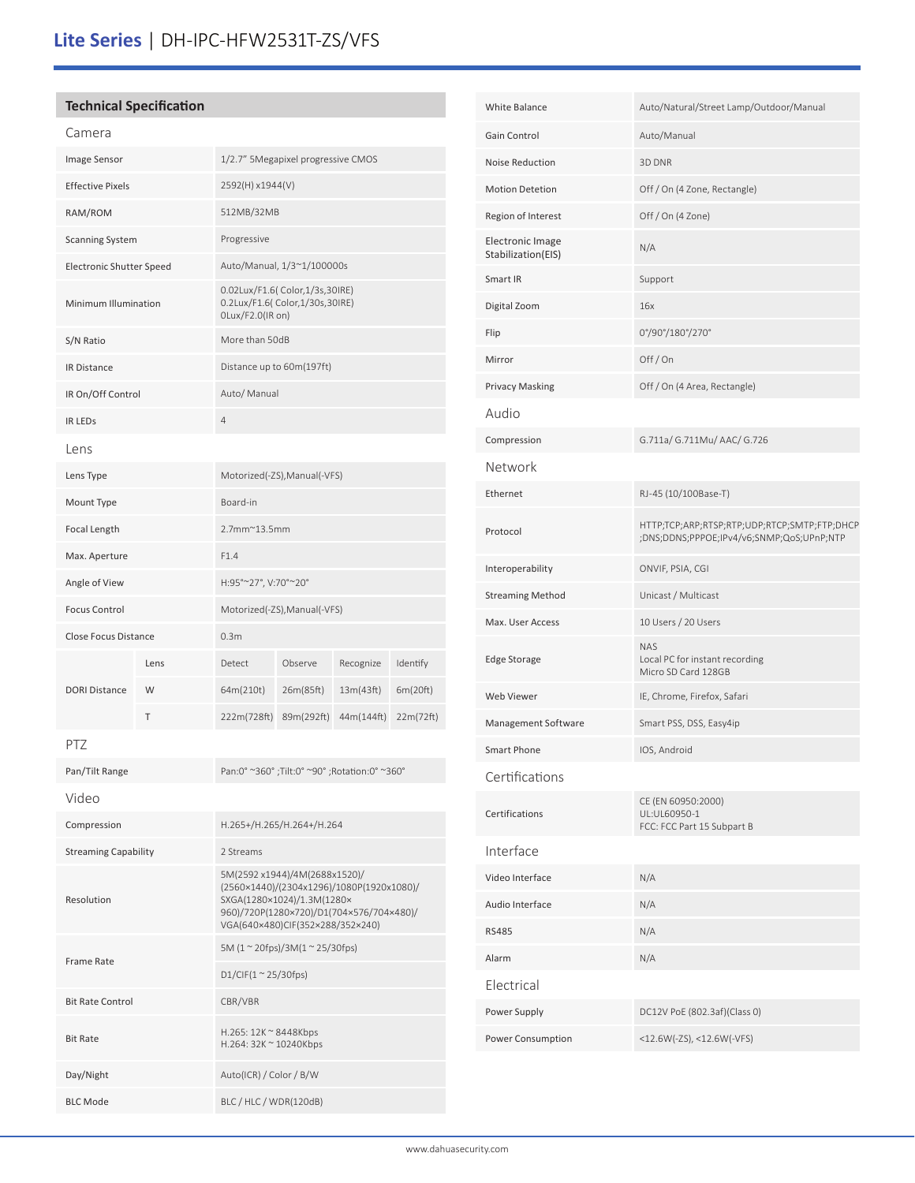# **Lite Series** | DH-IPC-HFW2531T-ZS/VFS

# **Technical Specification**

| Camera                          |      |                                                                                                                                                                                          |            |            |           |
|---------------------------------|------|------------------------------------------------------------------------------------------------------------------------------------------------------------------------------------------|------------|------------|-----------|
| Image Sensor                    |      | 1/2.7" 5Megapixel progressive CMOS                                                                                                                                                       |            |            |           |
| <b>Effective Pixels</b>         |      | 2592(H) x1944(V)                                                                                                                                                                         |            |            |           |
| RAM/ROM                         |      | 512MB/32MB                                                                                                                                                                               |            |            |           |
| <b>Scanning System</b>          |      | Progressive                                                                                                                                                                              |            |            |           |
| <b>Electronic Shutter Speed</b> |      | Auto/Manual, 1/3~1/100000s                                                                                                                                                               |            |            |           |
| Minimum Illumination            |      | 0.02Lux/F1.6( Color, 1/3s, 30IRE)<br>0.2Lux/F1.6( Color, 1/30s, 30IRE)<br>0Lux/F2.0(IR on)                                                                                               |            |            |           |
| S/N Ratio                       |      | More than 50dB                                                                                                                                                                           |            |            |           |
| <b>IR Distance</b>              |      | Distance up to 60m(197ft)                                                                                                                                                                |            |            |           |
| IR On/Off Control               |      | Auto/ Manual                                                                                                                                                                             |            |            |           |
| <b>IR LEDS</b>                  |      | 4                                                                                                                                                                                        |            |            |           |
| Lens                            |      |                                                                                                                                                                                          |            |            |           |
| Lens Type                       |      | Motorized(-ZS), Manual(-VFS)                                                                                                                                                             |            |            |           |
| Mount Type                      |      | Board-in                                                                                                                                                                                 |            |            |           |
| Focal Length                    |      | $2.7$ mm $^{\sim}$ 13.5mm                                                                                                                                                                |            |            |           |
| Max. Aperture                   |      | F1.4                                                                                                                                                                                     |            |            |           |
| Angle of View                   |      | H:95°~27°, V:70°~20°                                                                                                                                                                     |            |            |           |
| <b>Focus Control</b>            |      | Motorized(-ZS), Manual(-VFS)                                                                                                                                                             |            |            |           |
| Close Focus Distance            |      | 0.3 <sub>m</sub>                                                                                                                                                                         |            |            |           |
|                                 | Lens | Detect                                                                                                                                                                                   | Observe    | Recognize  | Identify  |
| <b>DORI Distance</b>            | W    | 64m(210t)                                                                                                                                                                                | 26m(85ft)  | 13m(43ft)  | 6m(20ft)  |
|                                 | T    | 222m(728ft)                                                                                                                                                                              | 89m(292ft) | 44m(144ft) | 22m(72ft) |
| PTZ                             |      |                                                                                                                                                                                          |            |            |           |
| Pan/Tilt Range                  |      | Pan:0° ~360°;Tilt:0° ~90°;Rotation:0° ~360°                                                                                                                                              |            |            |           |
| Video                           |      |                                                                                                                                                                                          |            |            |           |
| Compression                     |      | H.265+/H.265/H.264+/H.264                                                                                                                                                                |            |            |           |
| <b>Streaming Capability</b>     |      | 2 Streams                                                                                                                                                                                |            |            |           |
| Resolution                      |      | 5M(2592 x1944)/4M(2688x1520)/<br>(2560×1440)/(2304x1296)/1080P(1920x1080)/<br>SXGA(1280×1024)/1.3M(1280×<br>960)/720P(1280×720)/D1(704×576/704×480)/<br>VGA(640×480)CIF(352×288/352×240) |            |            |           |
| <b>Frame Rate</b>               |      | 5M (1 $\approx$ 20fps)/3M(1 $\approx$ 25/30fps)                                                                                                                                          |            |            |           |
|                                 |      | D1/CIF(1 ~ 25/30fps)                                                                                                                                                                     |            |            |           |
| <b>Bit Rate Control</b>         |      | CBR/VBR                                                                                                                                                                                  |            |            |           |
| <b>Bit Rate</b>                 |      | H.265: 12K ~ 8448Kbps<br>H.264: 32K $\sim$ 10240Kbps                                                                                                                                     |            |            |           |
| Day/Night                       |      | Auto(ICR) / Color / B/W                                                                                                                                                                  |            |            |           |
| <b>BLC Mode</b>                 |      | BLC / HLC / WDR(120dB)                                                                                                                                                                   |            |            |           |

| <b>White Balance</b>                          | Auto/Natural/Street Lamp/Outdoor/Manual                                                   |  |  |  |
|-----------------------------------------------|-------------------------------------------------------------------------------------------|--|--|--|
| Gain Control                                  | Auto/Manual                                                                               |  |  |  |
| Noise Reduction                               | 3D DNR                                                                                    |  |  |  |
| <b>Motion Detetion</b>                        | Off / On (4 Zone, Rectangle)                                                              |  |  |  |
| Region of Interest                            | Off / On (4 Zone)                                                                         |  |  |  |
| <b>Electronic Image</b><br>Stabilization(EIS) | N/A                                                                                       |  |  |  |
| Smart IR                                      | Support                                                                                   |  |  |  |
| Digital Zoom                                  | 16x                                                                                       |  |  |  |
| Flip                                          | 0°/90°/180°/270°                                                                          |  |  |  |
| Mirror                                        | Off/On                                                                                    |  |  |  |
| <b>Privacy Masking</b>                        | Off / On (4 Area, Rectangle)                                                              |  |  |  |
| Audio                                         |                                                                                           |  |  |  |
| Compression                                   | G.711a/ G.711Mu/ AAC/ G.726                                                               |  |  |  |
| Network                                       |                                                                                           |  |  |  |
| Ethernet                                      | RJ-45 (10/100Base-T)                                                                      |  |  |  |
| Protocol                                      | HTTP;TCP;ARP;RTSP;RTP;UDP;RTCP;SMTP;FTP;DHCP<br>;DNS;DDNS;PPPOE;IPv4/v6;SNMP;QoS;UPnP;NTP |  |  |  |
| Interoperability                              | ONVIF, PSIA, CGI                                                                          |  |  |  |
| <b>Streaming Method</b>                       | Unicast / Multicast                                                                       |  |  |  |
| Max. User Access                              | 10 Users / 20 Users                                                                       |  |  |  |
| Edge Storage                                  | <b>NAS</b><br>Local PC for instant recording<br>Micro SD Card 128GB                       |  |  |  |
| Web Viewer                                    | IE, Chrome, Firefox, Safari                                                               |  |  |  |
| Management Software                           | Smart PSS, DSS, Easy4ip                                                                   |  |  |  |
| Smart Phone                                   | IOS, Android                                                                              |  |  |  |
| Certifications                                |                                                                                           |  |  |  |
| Certifications                                | CE (EN 60950:2000)<br>UL:UL60950-1<br>FCC: FCC Part 15 Subpart B                          |  |  |  |
| Interface                                     |                                                                                           |  |  |  |
| Video Interface                               | N/A                                                                                       |  |  |  |
| Audio Interface                               | N/A                                                                                       |  |  |  |
| <b>RS485</b>                                  | N/A                                                                                       |  |  |  |
| Alarm                                         | N/A                                                                                       |  |  |  |
| Electrical                                    |                                                                                           |  |  |  |
| Power Supply                                  | DC12V PoE (802.3af)(Class 0)                                                              |  |  |  |
| Power Consumption                             | <12.6W(-ZS), <12.6W(-VFS)                                                                 |  |  |  |
|                                               |                                                                                           |  |  |  |